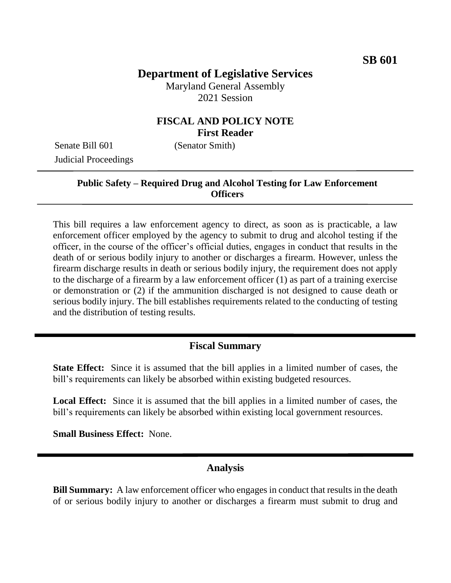## **Department of Legislative Services**

Maryland General Assembly 2021 Session

#### **FISCAL AND POLICY NOTE First Reader**

Senate Bill 601 (Senator Smith) Judicial Proceedings

#### **Public Safety – Required Drug and Alcohol Testing for Law Enforcement Officers**

This bill requires a law enforcement agency to direct, as soon as is practicable, a law enforcement officer employed by the agency to submit to drug and alcohol testing if the officer, in the course of the officer's official duties, engages in conduct that results in the death of or serious bodily injury to another or discharges a firearm. However, unless the firearm discharge results in death or serious bodily injury, the requirement does not apply to the discharge of a firearm by a law enforcement officer (1) as part of a training exercise or demonstration or (2) if the ammunition discharged is not designed to cause death or serious bodily injury. The bill establishes requirements related to the conducting of testing and the distribution of testing results.

#### **Fiscal Summary**

**State Effect:** Since it is assumed that the bill applies in a limited number of cases, the bill's requirements can likely be absorbed within existing budgeted resources.

**Local Effect:** Since it is assumed that the bill applies in a limited number of cases, the bill's requirements can likely be absorbed within existing local government resources.

**Small Business Effect:** None.

#### **Analysis**

**Bill Summary:** A law enforcement officer who engages in conduct that results in the death of or serious bodily injury to another or discharges a firearm must submit to drug and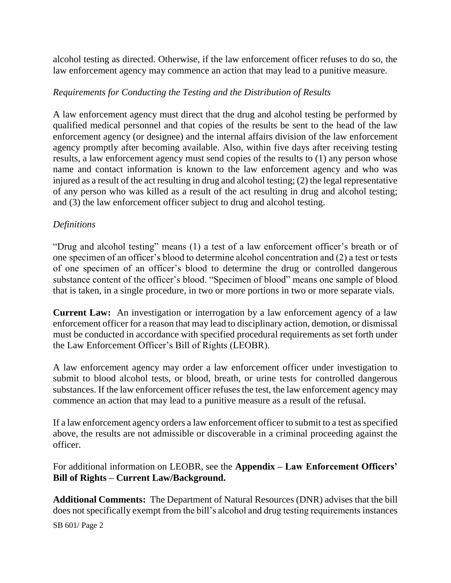alcohol testing as directed. Otherwise, if the law enforcement officer refuses to do so, the law enforcement agency may commence an action that may lead to a punitive measure.

#### *Requirements for Conducting the Testing and the Distribution of Results*

A law enforcement agency must direct that the drug and alcohol testing be performed by qualified medical personnel and that copies of the results be sent to the head of the law enforcement agency (or designee) and the internal affairs division of the law enforcement agency promptly after becoming available. Also, within five days after receiving testing results, a law enforcement agency must send copies of the results to (1) any person whose name and contact information is known to the law enforcement agency and who was injured as a result of the act resulting in drug and alcohol testing; (2) the legal representative of any person who was killed as a result of the act resulting in drug and alcohol testing; and (3) the law enforcement officer subject to drug and alcohol testing.

#### *Definitions*

"Drug and alcohol testing" means (1) a test of a law enforcement officer's breath or of one specimen of an officer's blood to determine alcohol concentration and (2) a test or tests of one specimen of an officer's blood to determine the drug or controlled dangerous substance content of the officer's blood. "Specimen of blood" means one sample of blood that is taken, in a single procedure, in two or more portions in two or more separate vials.

**Current Law:** An investigation or interrogation by a law enforcement agency of a law enforcement officer for a reason that may lead to disciplinary action, demotion, or dismissal must be conducted in accordance with specified procedural requirements as set forth under the Law Enforcement Officer's Bill of Rights (LEOBR).

A law enforcement agency may order a law enforcement officer under investigation to submit to blood alcohol tests, or blood, breath, or urine tests for controlled dangerous substances. If the law enforcement officer refuses the test, the law enforcement agency may commence an action that may lead to a punitive measure as a result of the refusal.

If a law enforcement agency orders a law enforcement officer to submit to a test as specified above, the results are not admissible or discoverable in a criminal proceeding against the officer.

For additional information on LEOBR, see the **Appendix – Law Enforcement Officers' Bill of Rights – Current Law/Background.**

**Additional Comments:** The Department of Natural Resources (DNR) advises that the bill does not specifically exempt from the bill's alcohol and drug testing requirements instances

SB 601/ Page 2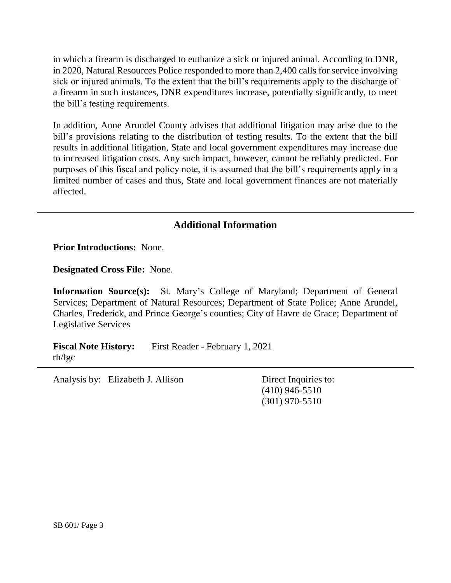in which a firearm is discharged to euthanize a sick or injured animal. According to DNR, in 2020, Natural Resources Police responded to more than 2,400 calls for service involving sick or injured animals. To the extent that the bill's requirements apply to the discharge of a firearm in such instances, DNR expenditures increase, potentially significantly, to meet the bill's testing requirements.

In addition, Anne Arundel County advises that additional litigation may arise due to the bill's provisions relating to the distribution of testing results. To the extent that the bill results in additional litigation, State and local government expenditures may increase due to increased litigation costs. Any such impact, however, cannot be reliably predicted. For purposes of this fiscal and policy note, it is assumed that the bill's requirements apply in a limited number of cases and thus, State and local government finances are not materially affected.

## **Additional Information**

**Prior Introductions:** None.

**Designated Cross File:** None.

**Information Source(s):** St. Mary's College of Maryland; Department of General Services; Department of Natural Resources; Department of State Police; Anne Arundel, Charles, Frederick, and Prince George's counties; City of Havre de Grace; Department of Legislative Services

**Fiscal Note History:** First Reader - February 1, 2021 rh/lgc

Analysis by: Elizabeth J. Allison Direct Inquiries to:

(410) 946-5510 (301) 970-5510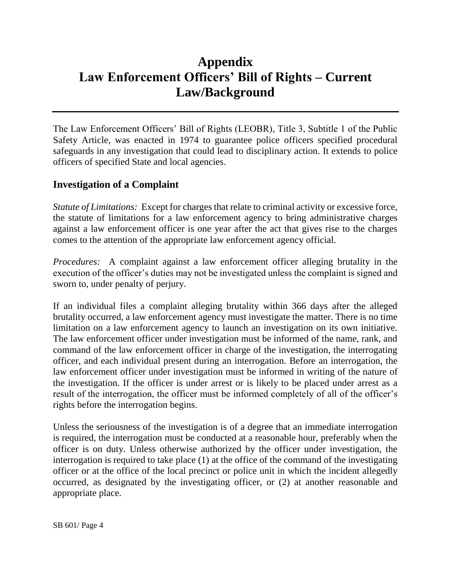# **Appendix Law Enforcement Officers' Bill of Rights – Current Law/Background**

The Law Enforcement Officers' Bill of Rights (LEOBR), Title 3, Subtitle 1 of the Public Safety Article, was enacted in 1974 to guarantee police officers specified procedural safeguards in any investigation that could lead to disciplinary action. It extends to police officers of specified State and local agencies.

## **Investigation of a Complaint**

*Statute of Limitations:* Except for charges that relate to criminal activity or excessive force, the statute of limitations for a law enforcement agency to bring administrative charges against a law enforcement officer is one year after the act that gives rise to the charges comes to the attention of the appropriate law enforcement agency official.

*Procedures:* A complaint against a law enforcement officer alleging brutality in the execution of the officer's duties may not be investigated unless the complaint is signed and sworn to, under penalty of perjury.

If an individual files a complaint alleging brutality within 366 days after the alleged brutality occurred, a law enforcement agency must investigate the matter. There is no time limitation on a law enforcement agency to launch an investigation on its own initiative. The law enforcement officer under investigation must be informed of the name, rank, and command of the law enforcement officer in charge of the investigation, the interrogating officer, and each individual present during an interrogation. Before an interrogation, the law enforcement officer under investigation must be informed in writing of the nature of the investigation. If the officer is under arrest or is likely to be placed under arrest as a result of the interrogation, the officer must be informed completely of all of the officer's rights before the interrogation begins.

Unless the seriousness of the investigation is of a degree that an immediate interrogation is required, the interrogation must be conducted at a reasonable hour, preferably when the officer is on duty. Unless otherwise authorized by the officer under investigation, the interrogation is required to take place (1) at the office of the command of the investigating officer or at the office of the local precinct or police unit in which the incident allegedly occurred, as designated by the investigating officer, or (2) at another reasonable and appropriate place.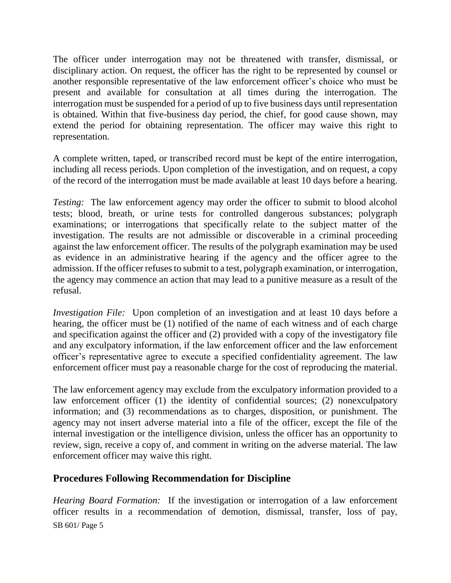The officer under interrogation may not be threatened with transfer, dismissal, or disciplinary action. On request, the officer has the right to be represented by counsel or another responsible representative of the law enforcement officer's choice who must be present and available for consultation at all times during the interrogation. The interrogation must be suspended for a period of up to five business days until representation is obtained. Within that five-business day period, the chief, for good cause shown, may extend the period for obtaining representation. The officer may waive this right to representation.

A complete written, taped, or transcribed record must be kept of the entire interrogation, including all recess periods. Upon completion of the investigation, and on request, a copy of the record of the interrogation must be made available at least 10 days before a hearing.

*Testing:* The law enforcement agency may order the officer to submit to blood alcohol tests; blood, breath, or urine tests for controlled dangerous substances; polygraph examinations; or interrogations that specifically relate to the subject matter of the investigation. The results are not admissible or discoverable in a criminal proceeding against the law enforcement officer. The results of the polygraph examination may be used as evidence in an administrative hearing if the agency and the officer agree to the admission. If the officer refuses to submit to a test, polygraph examination, or interrogation, the agency may commence an action that may lead to a punitive measure as a result of the refusal.

*Investigation File:* Upon completion of an investigation and at least 10 days before a hearing, the officer must be (1) notified of the name of each witness and of each charge and specification against the officer and (2) provided with a copy of the investigatory file and any exculpatory information, if the law enforcement officer and the law enforcement officer's representative agree to execute a specified confidentiality agreement. The law enforcement officer must pay a reasonable charge for the cost of reproducing the material.

The law enforcement agency may exclude from the exculpatory information provided to a law enforcement officer (1) the identity of confidential sources; (2) nonexculpatory information; and (3) recommendations as to charges, disposition, or punishment. The agency may not insert adverse material into a file of the officer, except the file of the internal investigation or the intelligence division, unless the officer has an opportunity to review, sign, receive a copy of, and comment in writing on the adverse material. The law enforcement officer may waive this right.

### **Procedures Following Recommendation for Discipline**

SB 601/ Page 5 *Hearing Board Formation:* If the investigation or interrogation of a law enforcement officer results in a recommendation of demotion, dismissal, transfer, loss of pay,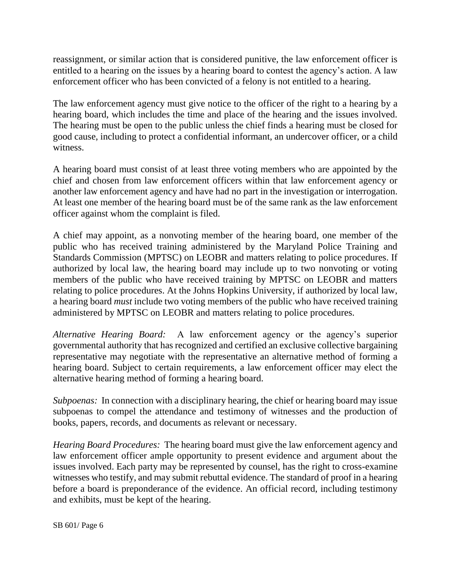reassignment, or similar action that is considered punitive, the law enforcement officer is entitled to a hearing on the issues by a hearing board to contest the agency's action. A law enforcement officer who has been convicted of a felony is not entitled to a hearing.

The law enforcement agency must give notice to the officer of the right to a hearing by a hearing board, which includes the time and place of the hearing and the issues involved. The hearing must be open to the public unless the chief finds a hearing must be closed for good cause, including to protect a confidential informant, an undercover officer, or a child witness.

A hearing board must consist of at least three voting members who are appointed by the chief and chosen from law enforcement officers within that law enforcement agency or another law enforcement agency and have had no part in the investigation or interrogation. At least one member of the hearing board must be of the same rank as the law enforcement officer against whom the complaint is filed.

A chief may appoint, as a nonvoting member of the hearing board, one member of the public who has received training administered by the Maryland Police Training and Standards Commission (MPTSC) on LEOBR and matters relating to police procedures. If authorized by local law, the hearing board may include up to two nonvoting or voting members of the public who have received training by MPTSC on LEOBR and matters relating to police procedures. At the Johns Hopkins University, if authorized by local law, a hearing board *must* include two voting members of the public who have received training administered by MPTSC on LEOBR and matters relating to police procedures.

*Alternative Hearing Board:* A law enforcement agency or the agency's superior governmental authority that has recognized and certified an exclusive collective bargaining representative may negotiate with the representative an alternative method of forming a hearing board. Subject to certain requirements, a law enforcement officer may elect the alternative hearing method of forming a hearing board.

*Subpoenas:* In connection with a disciplinary hearing, the chief or hearing board may issue subpoenas to compel the attendance and testimony of witnesses and the production of books, papers, records, and documents as relevant or necessary.

*Hearing Board Procedures:* The hearing board must give the law enforcement agency and law enforcement officer ample opportunity to present evidence and argument about the issues involved. Each party may be represented by counsel, has the right to cross-examine witnesses who testify, and may submit rebuttal evidence. The standard of proof in a hearing before a board is preponderance of the evidence. An official record, including testimony and exhibits, must be kept of the hearing.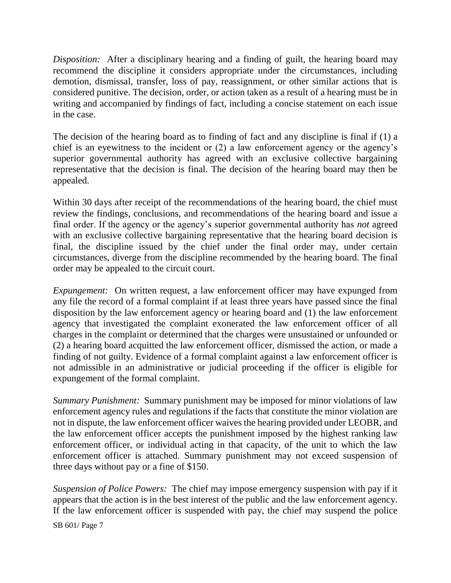*Disposition:* After a disciplinary hearing and a finding of guilt, the hearing board may recommend the discipline it considers appropriate under the circumstances, including demotion, dismissal, transfer, loss of pay, reassignment, or other similar actions that is considered punitive. The decision, order, or action taken as a result of a hearing must be in writing and accompanied by findings of fact, including a concise statement on each issue in the case.

The decision of the hearing board as to finding of fact and any discipline is final if (1) a chief is an eyewitness to the incident or (2) a law enforcement agency or the agency's superior governmental authority has agreed with an exclusive collective bargaining representative that the decision is final. The decision of the hearing board may then be appealed.

Within 30 days after receipt of the recommendations of the hearing board, the chief must review the findings, conclusions, and recommendations of the hearing board and issue a final order. If the agency or the agency's superior governmental authority has *not* agreed with an exclusive collective bargaining representative that the hearing board decision is final, the discipline issued by the chief under the final order may, under certain circumstances, diverge from the discipline recommended by the hearing board. The final order may be appealed to the circuit court.

*Expungement:* On written request, a law enforcement officer may have expunged from any file the record of a formal complaint if at least three years have passed since the final disposition by the law enforcement agency or hearing board and (1) the law enforcement agency that investigated the complaint exonerated the law enforcement officer of all charges in the complaint or determined that the charges were unsustained or unfounded or (2) a hearing board acquitted the law enforcement officer, dismissed the action, or made a finding of not guilty. Evidence of a formal complaint against a law enforcement officer is not admissible in an administrative or judicial proceeding if the officer is eligible for expungement of the formal complaint.

*Summary Punishment:* Summary punishment may be imposed for minor violations of law enforcement agency rules and regulations if the facts that constitute the minor violation are not in dispute, the law enforcement officer waives the hearing provided under LEOBR, and the law enforcement officer accepts the punishment imposed by the highest ranking law enforcement officer, or individual acting in that capacity, of the unit to which the law enforcement officer is attached. Summary punishment may not exceed suspension of three days without pay or a fine of \$150.

*Suspension of Police Powers:* The chief may impose emergency suspension with pay if it appears that the action is in the best interest of the public and the law enforcement agency. If the law enforcement officer is suspended with pay, the chief may suspend the police

SB 601/ Page 7